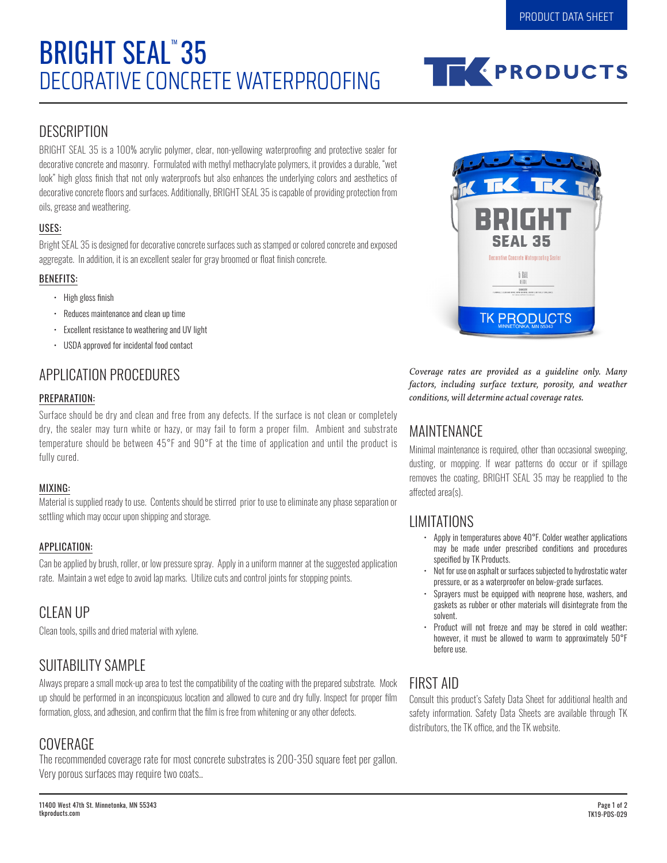# DECORATIVE CONCRETE WATERPROOFING **BRIGHT SEAL<sup>"</sup>35**



### **DESCRIPTION**

BRIGHT SEAL 35 is a 100% acrylic polymer, clear, non-yellowing waterproofing and protective sealer for decorative concrete and masonry. Formulated with methyl methacrylate polymers, it provides a durable, "wet look" high gloss finish that not only waterproofs but also enhances the underlying colors and aesthetics of decorative concrete floors and surfaces. Additionally, BRIGHT SEAL 35 is capable of providing protection from oils, grease and weathering.

#### USES:

Bright SEAL 35 is designed for decorative concrete surfaces such as stamped or colored concrete and exposed aggregate. In addition, it is an excellent sealer for gray broomed or float finish concrete.

#### BENEFITS:

- High gloss finish
- Reduces maintenance and clean up time
- Excellent resistance to weathering and UV light
- USDA approved for incidental food contact

# APPLICATION PROCEDURES

#### PREPARATION:

Surface should be dry and clean and free from any defects. If the surface is not clean or completely dry, the sealer may turn white or hazy, or may fail to form a proper film. Ambient and substrate temperature should be between 45°F and 90°F at the time of application and until the product is fully cured.

#### MIXING:

Material is supplied ready to use. Contents should be stirred prior to use to eliminate any phase separation or settling which may occur upon shipping and storage.

#### APPLICATION:

Can be applied by brush, roller, or low pressure spray. Apply in a uniform manner at the suggested application rate. Maintain a wet edge to avoid lap marks. Utilize cuts and control joints for stopping points.

# CLEAN UP

Clean tools, spills and dried material with xylene.

# SUITABILITY SAMPLE

Always prepare a small mock-up area to test the compatibility of the coating with the prepared substrate. Mock up should be performed in an inconspicuous location and allowed to cure and dry fully. Inspect for proper film formation, gloss, and adhesion, and confirm that the film is free from whitening or any other defects.

## **COVERAGE**

The recommended coverage rate for most concrete substrates is 200-350 square feet per gallon. Very porous surfaces may require two coats..



*Coverage rates are provided as a guideline only. Many factors, including surface texture, porosity, and weather conditions, will determine actual coverage rates.*

## MAINTENANCE

Minimal maintenance is required, other than occasional sweeping, dusting, or mopping. If wear patterns do occur or if spillage removes the coating, BRIGHT SEAL 35 may be reapplied to the affected area(s).

### LIMITATIONS

- Apply in temperatures above 40°F. Colder weather applications may be made under prescribed conditions and procedures specified by TK Products.
- Not for use on asphalt or surfaces subjected to hydrostatic water pressure, or as a waterproofer on below-grade surfaces.
- Sprayers must be equipped with neoprene hose, washers, and gaskets as rubber or other materials will disintegrate from the solvent.
- Product will not freeze and may be stored in cold weather; however, it must be allowed to warm to approximately 50°F before use.

## FIRST AID

Consult this product's Safety Data Sheet for additional health and safety information. Safety Data Sheets are available through TK distributors, the TK office, and the TK website.